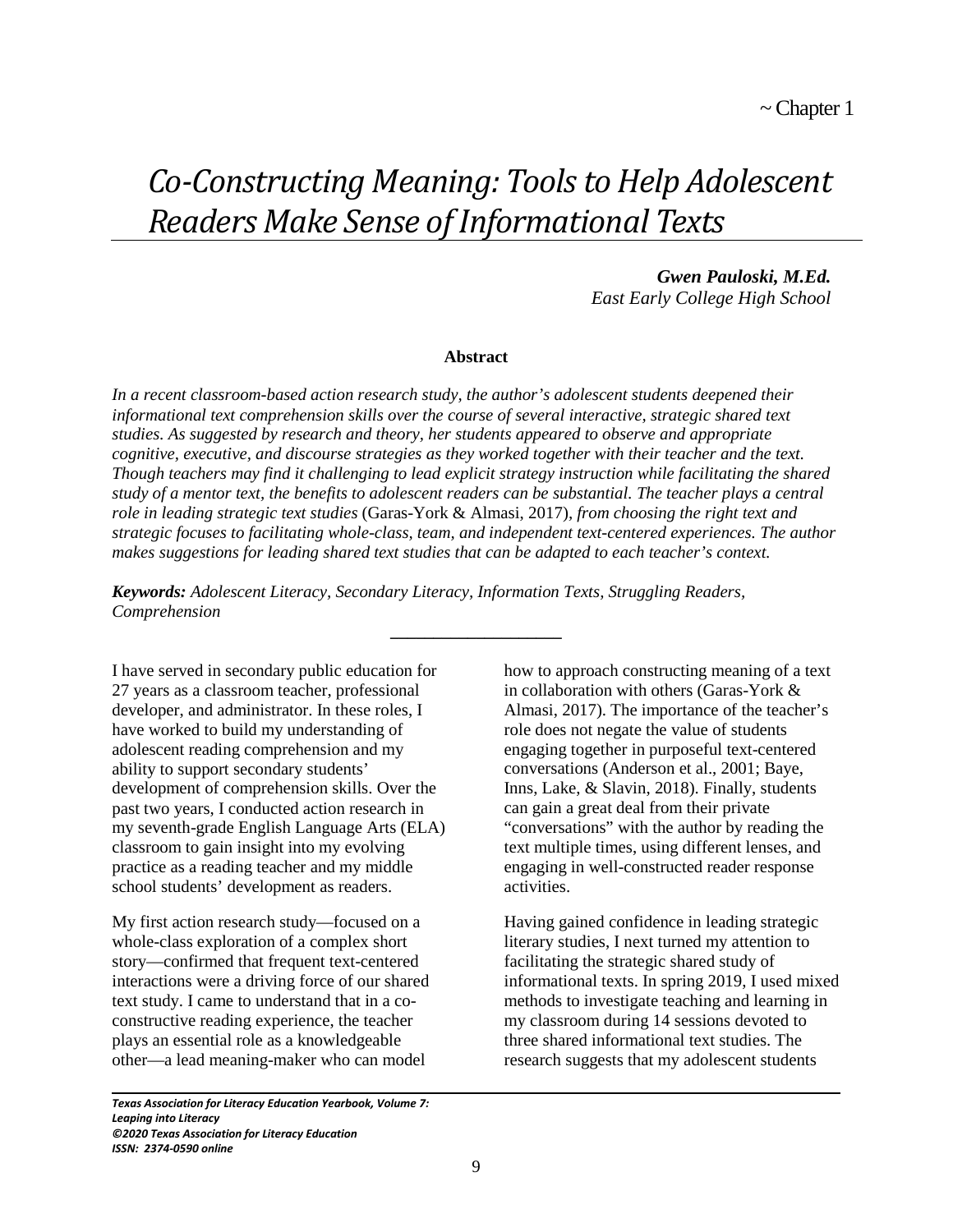# *Co-Constructing Meaning: Tools to Help Adolescent Readers Make Sense of Informational Texts*

*Gwen Pauloski, M.Ed. East Early College High School*

#### **Abstract**

*In a recent classroom-based action research study, the author's adolescent students deepened their informational text comprehension skills over the course of several interactive, strategic shared text studies. As suggested by research and theory, her students appeared to observe and appropriate cognitive, executive, and discourse strategies as they worked together with their teacher and the text. Though teachers may find it challenging to lead explicit strategy instruction while facilitating the shared study of a mentor text, the benefits to adolescent readers can be substantial. The teacher plays a central role in leading strategic text studies* (Garas-York & Almasi, 2017)*, from choosing the right text and strategic focuses to facilitating whole-class, team, and independent text-centered experiences. The author makes suggestions for leading shared text studies that can be adapted to each teacher's context.* 

**\_\_\_\_\_\_\_\_\_\_\_\_\_\_\_\_\_\_\_\_** 

*Keywords: Adolescent Literacy, Secondary Literacy, Information Texts, Struggling Readers, Comprehension* 

I have served in secondary public education for 27 years as a classroom teacher, professional developer, and administrator. In these roles, I have worked to build my understanding of adolescent reading comprehension and my ability to support secondary students' development of comprehension skills. Over the past two years, I conducted action research in my seventh-grade English Language Arts (ELA) classroom to gain insight into my evolving practice as a reading teacher and my middle school students' development as readers.

My first action research study—focused on a whole-class exploration of a complex short story—confirmed that frequent text-centered interactions were a driving force of our shared text study. I came to understand that in a coconstructive reading experience, the teacher plays an essential role as a knowledgeable other—a lead meaning-maker who can model

*Texas Association for Literacy Education Yearbook, Volume 7: Leaping into Literacy ©2020 Texas Association for Literacy Education ISSN: 2374-0590 online*

L

how to approach constructing meaning of a text in collaboration with others (Garas-York & Almasi, 2017). The importance of the teacher's role does not negate the value of students engaging together in purposeful text-centered conversations (Anderson et al., 2001; Baye, Inns, Lake, & Slavin, 2018). Finally, students can gain a great deal from their private "conversations" with the author by reading the text multiple times, using different lenses, and engaging in well-constructed reader response activities.

Having gained confidence in leading strategic literary studies, I next turned my attention to facilitating the strategic shared study of informational texts. In spring 2019, I used mixed methods to investigate teaching and learning in my classroom during 14 sessions devoted to three shared informational text studies. The research suggests that my adolescent students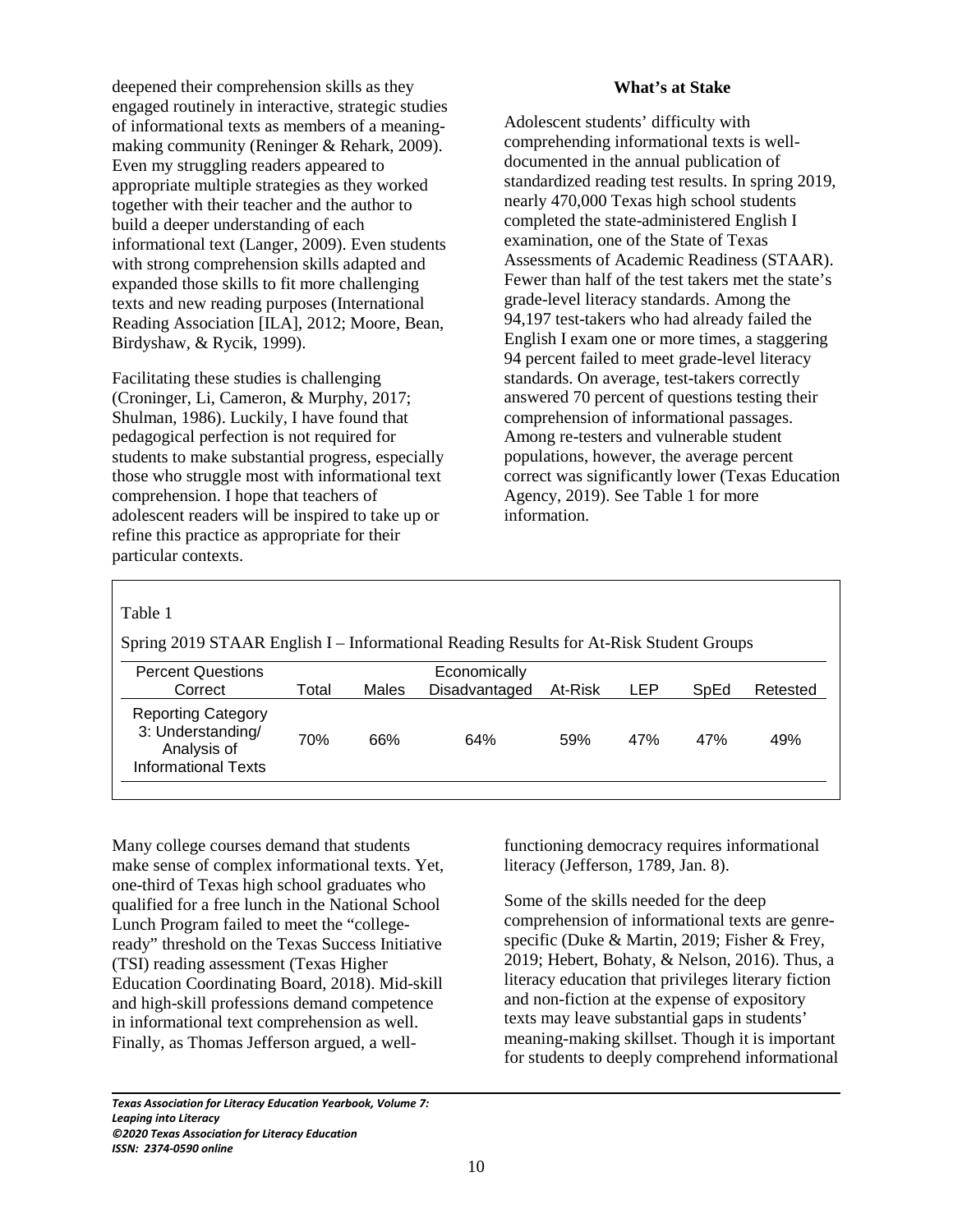deepened their comprehension skills as they engaged routinely in interactive, strategic studies of informational texts as members of a meaningmaking community (Reninger & Rehark, 2009). Even my struggling readers appeared to appropriate multiple strategies as they worked together with their teacher and the author to build a deeper understanding of each informational text (Langer, 2009). Even students with strong comprehension skills adapted and expanded those skills to fit more challenging texts and new reading purposes (International Reading Association [ILA], 2012; Moore, Bean, Birdyshaw, & Rycik, 1999).

Facilitating these studies is challenging (Croninger, Li, Cameron, & Murphy, 2017; Shulman, 1986). Luckily, I have found that pedagogical perfection is not required for students to make substantial progress, especially those who struggle most with informational text comprehension. I hope that teachers of adolescent readers will be inspired to take up or refine this practice as appropriate for their particular contexts.

#### **What's at Stake**

Adolescent students' difficulty with comprehending informational texts is welldocumented in the annual publication of standardized reading test results. In spring 2019, nearly 470,000 Texas high school students completed the state-administered English I examination, one of the State of Texas Assessments of Academic Readiness (STAAR). Fewer than half of the test takers met the state's grade-level literacy standards. Among the 94,197 test-takers who had already failed the English I exam one or more times, a staggering 94 percent failed to meet grade-level literacy standards. On average, test-takers correctly answered 70 percent of questions testing their comprehension of informational passages. Among re-testers and vulnerable student populations, however, the average percent correct was significantly lower (Texas Education Agency, 2019). See Table 1 for more information.

#### Table 1

L

Spring 2019 STAAR English I – Informational Reading Results for At-Risk Student Groups

| <b>Percent Questions</b>                                                                    |       |       | Economically  |         |     |      |          |
|---------------------------------------------------------------------------------------------|-------|-------|---------------|---------|-----|------|----------|
| Correct                                                                                     | Total | Males | Disadvantaged | At-Risk | LEP | SpEd | Retested |
| <b>Reporting Category</b><br>3: Understanding/<br>Analysis of<br><b>Informational Texts</b> | 70%   | 66%   | 64%           | 59%     | 47% | 47%  | 49%      |

Many college courses demand that students make sense of complex informational texts. Yet, one-third of Texas high school graduates who qualified for a free lunch in the National School Lunch Program failed to meet the "collegeready" threshold on the Texas Success Initiative (TSI) reading assessment (Texas Higher Education Coordinating Board, 2018). Mid-skill and high-skill professions demand competence in informational text comprehension as well. Finally, as Thomas Jefferson argued, a well-

*Texas Association for Literacy Education Yearbook, Volume 7: Leaping into Literacy ©2020 Texas Association for Literacy Education ISSN: 2374-0590 online*

functioning democracy requires informational literacy (Jefferson, 1789, Jan. 8).

Some of the skills needed for the deep comprehension of informational texts are genrespecific (Duke & Martin, 2019; Fisher & Frey, 2019; Hebert, Bohaty, & Nelson, 2016). Thus, a literacy education that privileges literary fiction and non-fiction at the expense of expository texts may leave substantial gaps in students' meaning-making skillset. Though it is important for students to deeply comprehend informational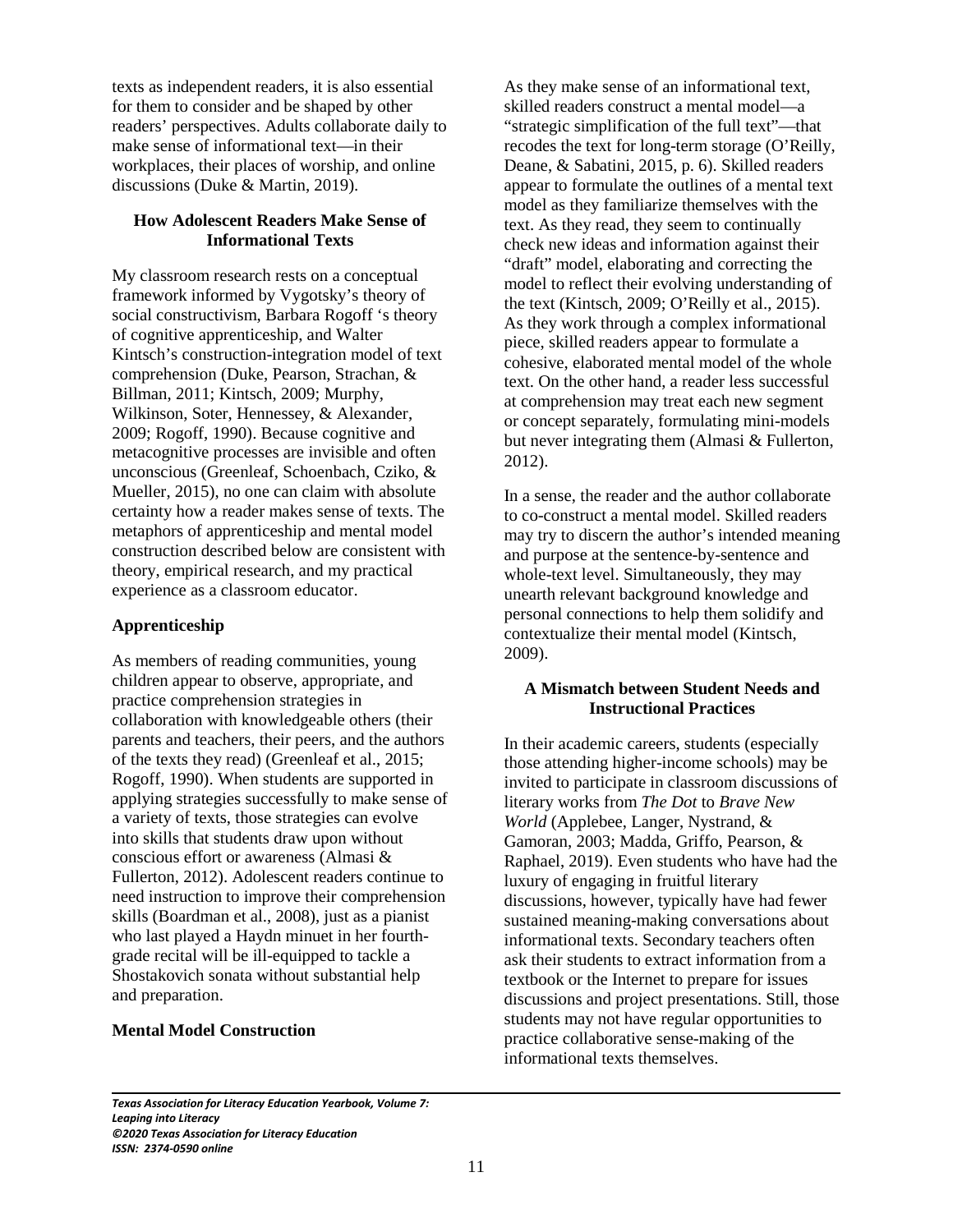texts as independent readers, it is also essential for them to consider and be shaped by other readers' perspectives. Adults collaborate daily to make sense of informational text—in their workplaces, their places of worship, and online discussions (Duke & Martin, 2019).

## **How Adolescent Readers Make Sense of Informational Texts**

My classroom research rests on a conceptual framework informed by Vygotsky's theory of social constructivism, Barbara Rogoff 's theory of cognitive apprenticeship, and Walter Kintsch's construction-integration model of text comprehension (Duke, Pearson, Strachan, & Billman, 2011; Kintsch, 2009; Murphy, Wilkinson, Soter, Hennessey, & Alexander, 2009; Rogoff, 1990). Because cognitive and metacognitive processes are invisible and often unconscious (Greenleaf, Schoenbach, Cziko, & Mueller, 2015), no one can claim with absolute certainty how a reader makes sense of texts. The metaphors of apprenticeship and mental model construction described below are consistent with theory, empirical research, and my practical experience as a classroom educator.

## **Apprenticeship**

As members of reading communities, young children appear to observe, appropriate, and practice comprehension strategies in collaboration with knowledgeable others (their parents and teachers, their peers, and the authors of the texts they read) (Greenleaf et al., 2015; Rogoff, 1990). When students are supported in applying strategies successfully to make sense of a variety of texts, those strategies can evolve into skills that students draw upon without conscious effort or awareness (Almasi & Fullerton, 2012). Adolescent readers continue to need instruction to improve their comprehension skills (Boardman et al., 2008), just as a pianist who last played a Haydn minuet in her fourthgrade recital will be ill-equipped to tackle a Shostakovich sonata without substantial help and preparation.

## **Mental Model Construction**

L

As they make sense of an informational text, skilled readers construct a mental model—a "strategic simplification of the full text"—that recodes the text for long-term storage (O'Reilly, Deane, & Sabatini, 2015, p. 6). Skilled readers appear to formulate the outlines of a mental text model as they familiarize themselves with the text. As they read, they seem to continually check new ideas and information against their "draft" model, elaborating and correcting the model to reflect their evolving understanding of the text (Kintsch, 2009; O'Reilly et al., 2015). As they work through a complex informational piece, skilled readers appear to formulate a cohesive, elaborated mental model of the whole text. On the other hand, a reader less successful at comprehension may treat each new segment or concept separately, formulating mini-models but never integrating them (Almasi & Fullerton, 2012).

In a sense, the reader and the author collaborate to co-construct a mental model. Skilled readers may try to discern the author's intended meaning and purpose at the sentence-by-sentence and whole-text level. Simultaneously, they may unearth relevant background knowledge and personal connections to help them solidify and contextualize their mental model (Kintsch, 2009).

## **A Mismatch between Student Needs and Instructional Practices**

In their academic careers, students (especially those attending higher-income schools) may be invited to participate in classroom discussions of literary works from *The Dot* to *Brave New World* (Applebee, Langer, Nystrand, & Gamoran, 2003; Madda, Griffo, Pearson, & Raphael, 2019). Even students who have had the luxury of engaging in fruitful literary discussions, however, typically have had fewer sustained meaning-making conversations about informational texts. Secondary teachers often ask their students to extract information from a textbook or the Internet to prepare for issues discussions and project presentations. Still, those students may not have regular opportunities to practice collaborative sense-making of the informational texts themselves.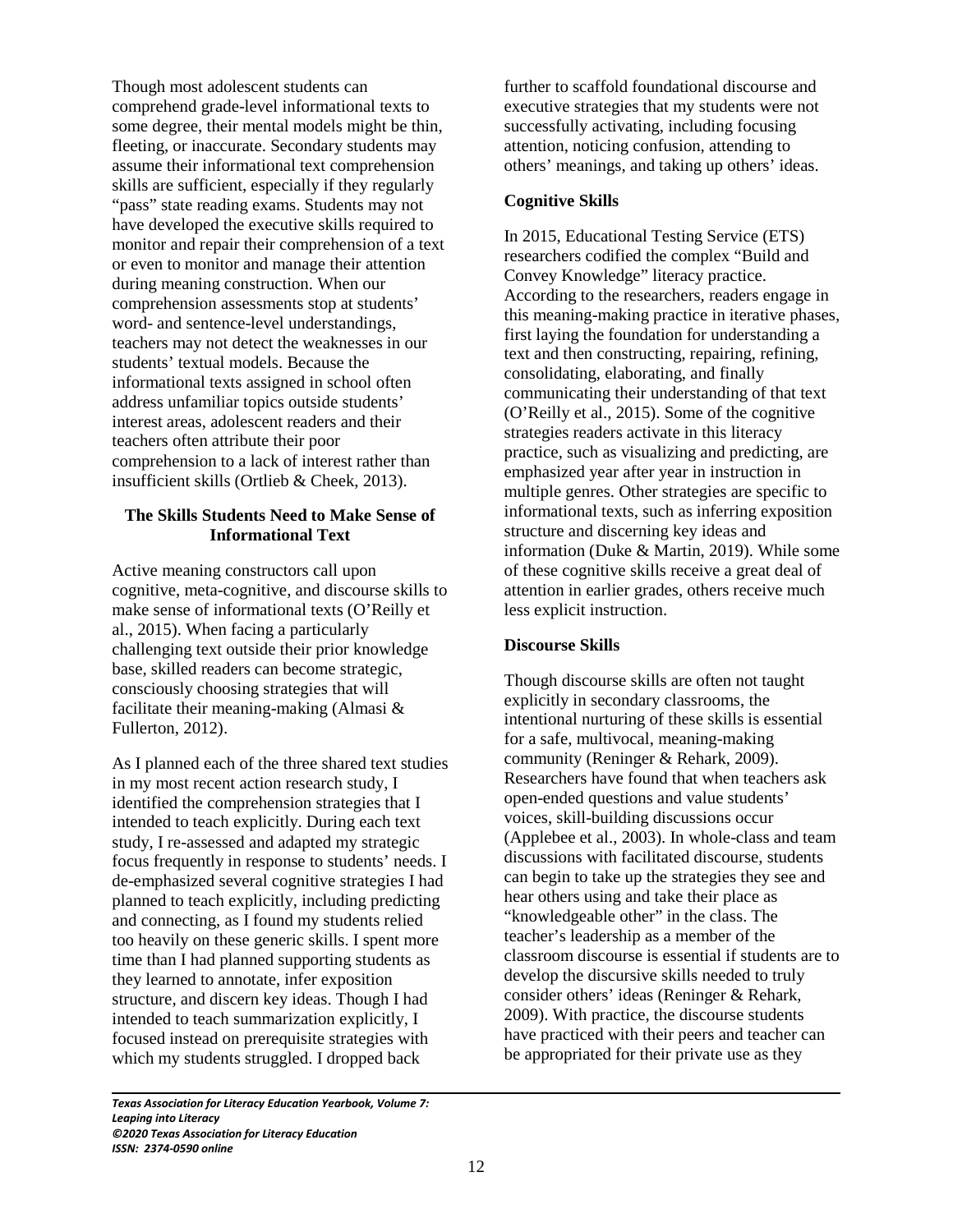Though most adolescent students can comprehend grade-level informational texts to some degree, their mental models might be thin, fleeting, or inaccurate. Secondary students may assume their informational text comprehension skills are sufficient, especially if they regularly "pass" state reading exams. Students may not have developed the executive skills required to monitor and repair their comprehension of a text or even to monitor and manage their attention during meaning construction. When our comprehension assessments stop at students' word- and sentence-level understandings, teachers may not detect the weaknesses in our students' textual models. Because the informational texts assigned in school often address unfamiliar topics outside students' interest areas, adolescent readers and their teachers often attribute their poor comprehension to a lack of interest rather than insufficient skills (Ortlieb & Cheek, 2013).

## **The Skills Students Need to Make Sense of Informational Text**

Active meaning constructors call upon cognitive, meta-cognitive, and discourse skills to make sense of informational texts (O'Reilly et al., 2015). When facing a particularly challenging text outside their prior knowledge base, skilled readers can become strategic, consciously choosing strategies that will facilitate their meaning-making (Almasi & Fullerton, 2012).

As I planned each of the three shared text studies in my most recent action research study, I identified the comprehension strategies that I intended to teach explicitly. During each text study, I re-assessed and adapted my strategic focus frequently in response to students' needs. I de-emphasized several cognitive strategies I had planned to teach explicitly, including predicting and connecting, as I found my students relied too heavily on these generic skills. I spent more time than I had planned supporting students as they learned to annotate, infer exposition structure, and discern key ideas. Though I had intended to teach summarization explicitly, I focused instead on prerequisite strategies with which my students struggled. I dropped back

*Texas Association for Literacy Education Yearbook, Volume 7: Leaping into Literacy ©2020 Texas Association for Literacy Education ISSN: 2374-0590 online*

L

further to scaffold foundational discourse and executive strategies that my students were not successfully activating, including focusing attention, noticing confusion, attending to others' meanings, and taking up others' ideas.

## **Cognitive Skills**

In 2015, Educational Testing Service (ETS) researchers codified the complex "Build and Convey Knowledge" literacy practice. According to the researchers, readers engage in this meaning-making practice in iterative phases, first laying the foundation for understanding a text and then constructing, repairing, refining, consolidating, elaborating, and finally communicating their understanding of that text (O'Reilly et al., 2015). Some of the cognitive strategies readers activate in this literacy practice, such as visualizing and predicting, are emphasized year after year in instruction in multiple genres. Other strategies are specific to informational texts, such as inferring exposition structure and discerning key ideas and information (Duke & Martin, 2019). While some of these cognitive skills receive a great deal of attention in earlier grades, others receive much less explicit instruction.

## **Discourse Skills**

Though discourse skills are often not taught explicitly in secondary classrooms, the intentional nurturing of these skills is essential for a safe, multivocal, meaning-making community (Reninger & Rehark, 2009). Researchers have found that when teachers ask open-ended questions and value students' voices, skill-building discussions occur (Applebee et al., 2003). In whole-class and team discussions with facilitated discourse, students can begin to take up the strategies they see and hear others using and take their place as "knowledgeable other" in the class. The teacher's leadership as a member of the classroom discourse is essential if students are to develop the discursive skills needed to truly consider others' ideas (Reninger & Rehark, 2009). With practice, the discourse students have practiced with their peers and teacher can be appropriated for their private use as they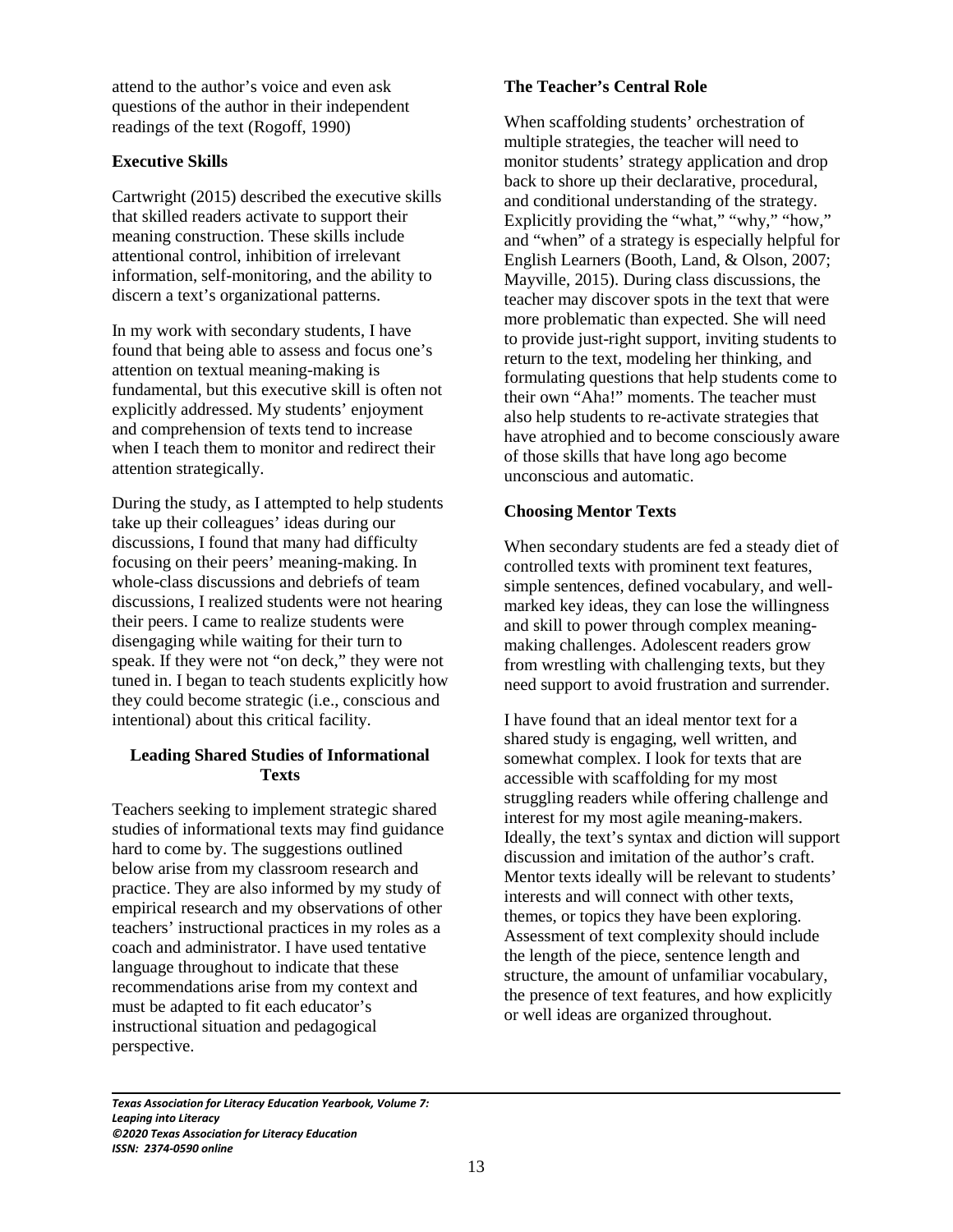attend to the author's voice and even ask questions of the author in their independent readings of the text (Rogoff, 1990)

# **Executive Skills**

Cartwright (2015) described the executive skills that skilled readers activate to support their meaning construction. These skills include attentional control, inhibition of irrelevant information, self-monitoring, and the ability to discern a text's organizational patterns.

In my work with secondary students, I have found that being able to assess and focus one's attention on textual meaning-making is fundamental, but this executive skill is often not explicitly addressed. My students' enjoyment and comprehension of texts tend to increase when I teach them to monitor and redirect their attention strategically.

During the study, as I attempted to help students take up their colleagues' ideas during our discussions, I found that many had difficulty focusing on their peers' meaning-making. In whole-class discussions and debriefs of team discussions, I realized students were not hearing their peers. I came to realize students were disengaging while waiting for their turn to speak. If they were not "on deck," they were not tuned in. I began to teach students explicitly how they could become strategic (i.e., conscious and intentional) about this critical facility.

# **Leading Shared Studies of Informational Texts**

Teachers seeking to implement strategic shared studies of informational texts may find guidance hard to come by. The suggestions outlined below arise from my classroom research and practice. They are also informed by my study of empirical research and my observations of other teachers' instructional practices in my roles as a coach and administrator. I have used tentative language throughout to indicate that these recommendations arise from my context and must be adapted to fit each educator's instructional situation and pedagogical perspective.

# **The Teacher's Central Role**

When scaffolding students' orchestration of multiple strategies, the teacher will need to monitor students' strategy application and drop back to shore up their declarative, procedural, and conditional understanding of the strategy. Explicitly providing the "what," "why," "how," and "when" of a strategy is especially helpful for English Learners (Booth, Land, & Olson, 2007; Mayville, 2015). During class discussions, the teacher may discover spots in the text that were more problematic than expected. She will need to provide just-right support, inviting students to return to the text, modeling her thinking, and formulating questions that help students come to their own "Aha!" moments. The teacher must also help students to re-activate strategies that have atrophied and to become consciously aware of those skills that have long ago become unconscious and automatic.

# **Choosing Mentor Texts**

When secondary students are fed a steady diet of controlled texts with prominent text features, simple sentences, defined vocabulary, and wellmarked key ideas, they can lose the willingness and skill to power through complex meaningmaking challenges. Adolescent readers grow from wrestling with challenging texts, but they need support to avoid frustration and surrender.

I have found that an ideal mentor text for a shared study is engaging, well written, and somewhat complex. I look for texts that are accessible with scaffolding for my most struggling readers while offering challenge and interest for my most agile meaning-makers. Ideally, the text's syntax and diction will support discussion and imitation of the author's craft. Mentor texts ideally will be relevant to students' interests and will connect with other texts, themes, or topics they have been exploring. Assessment of text complexity should include the length of the piece, sentence length and structure, the amount of unfamiliar vocabulary, the presence of text features, and how explicitly or well ideas are organized throughout.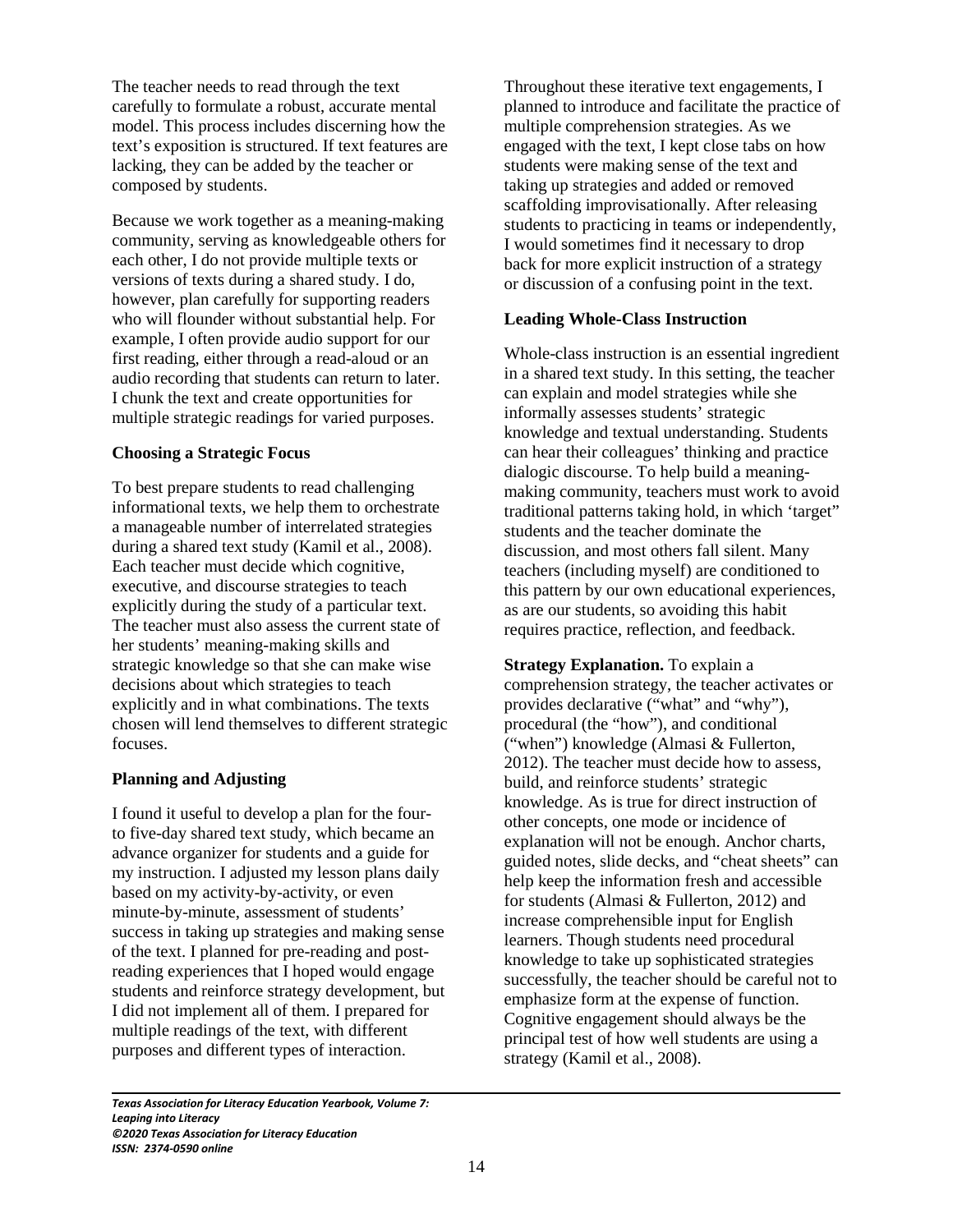The teacher needs to read through the text carefully to formulate a robust, accurate mental model. This process includes discerning how the text's exposition is structured. If text features are lacking, they can be added by the teacher or composed by students.

Because we work together as a meaning-making community, serving as knowledgeable others for each other, I do not provide multiple texts or versions of texts during a shared study. I do, however, plan carefully for supporting readers who will flounder without substantial help. For example, I often provide audio support for our first reading, either through a read-aloud or an audio recording that students can return to later. I chunk the text and create opportunities for multiple strategic readings for varied purposes.

## **Choosing a Strategic Focus**

To best prepare students to read challenging informational texts, we help them to orchestrate a manageable number of interrelated strategies during a shared text study (Kamil et al., 2008). Each teacher must decide which cognitive, executive, and discourse strategies to teach explicitly during the study of a particular text. The teacher must also assess the current state of her students' meaning-making skills and strategic knowledge so that she can make wise decisions about which strategies to teach explicitly and in what combinations. The texts chosen will lend themselves to different strategic focuses.

## **Planning and Adjusting**

I found it useful to develop a plan for the fourto five-day shared text study, which became an advance organizer for students and a guide for my instruction. I adjusted my lesson plans daily based on my activity-by-activity, or even minute-by-minute, assessment of students' success in taking up strategies and making sense of the text. I planned for pre-reading and postreading experiences that I hoped would engage students and reinforce strategy development, but I did not implement all of them. I prepared for multiple readings of the text, with different purposes and different types of interaction.

*Texas Association for Literacy Education Yearbook, Volume 7:* 

Throughout these iterative text engagements, I planned to introduce and facilitate the practice of multiple comprehension strategies. As we engaged with the text, I kept close tabs on how students were making sense of the text and taking up strategies and added or removed scaffolding improvisationally. After releasing students to practicing in teams or independently, I would sometimes find it necessary to drop back for more explicit instruction of a strategy or discussion of a confusing point in the text.

#### **Leading Whole-Class Instruction**

Whole-class instruction is an essential ingredient in a shared text study. In this setting, the teacher can explain and model strategies while she informally assesses students' strategic knowledge and textual understanding. Students can hear their colleagues' thinking and practice dialogic discourse. To help build a meaningmaking community, teachers must work to avoid traditional patterns taking hold, in which 'target" students and the teacher dominate the discussion, and most others fall silent. Many teachers (including myself) are conditioned to this pattern by our own educational experiences, as are our students, so avoiding this habit requires practice, reflection, and feedback.

**Strategy Explanation.** To explain a comprehension strategy, the teacher activates or provides declarative ("what" and "why"), procedural (the "how"), and conditional ("when") knowledge (Almasi & Fullerton, 2012). The teacher must decide how to assess, build, and reinforce students' strategic knowledge. As is true for direct instruction of other concepts, one mode or incidence of explanation will not be enough. Anchor charts, guided notes, slide decks, and "cheat sheets" can help keep the information fresh and accessible for students (Almasi & Fullerton, 2012) and increase comprehensible input for English learners. Though students need procedural knowledge to take up sophisticated strategies successfully, the teacher should be careful not to emphasize form at the expense of function. Cognitive engagement should always be the principal test of how well students are using a strategy (Kamil et al., 2008).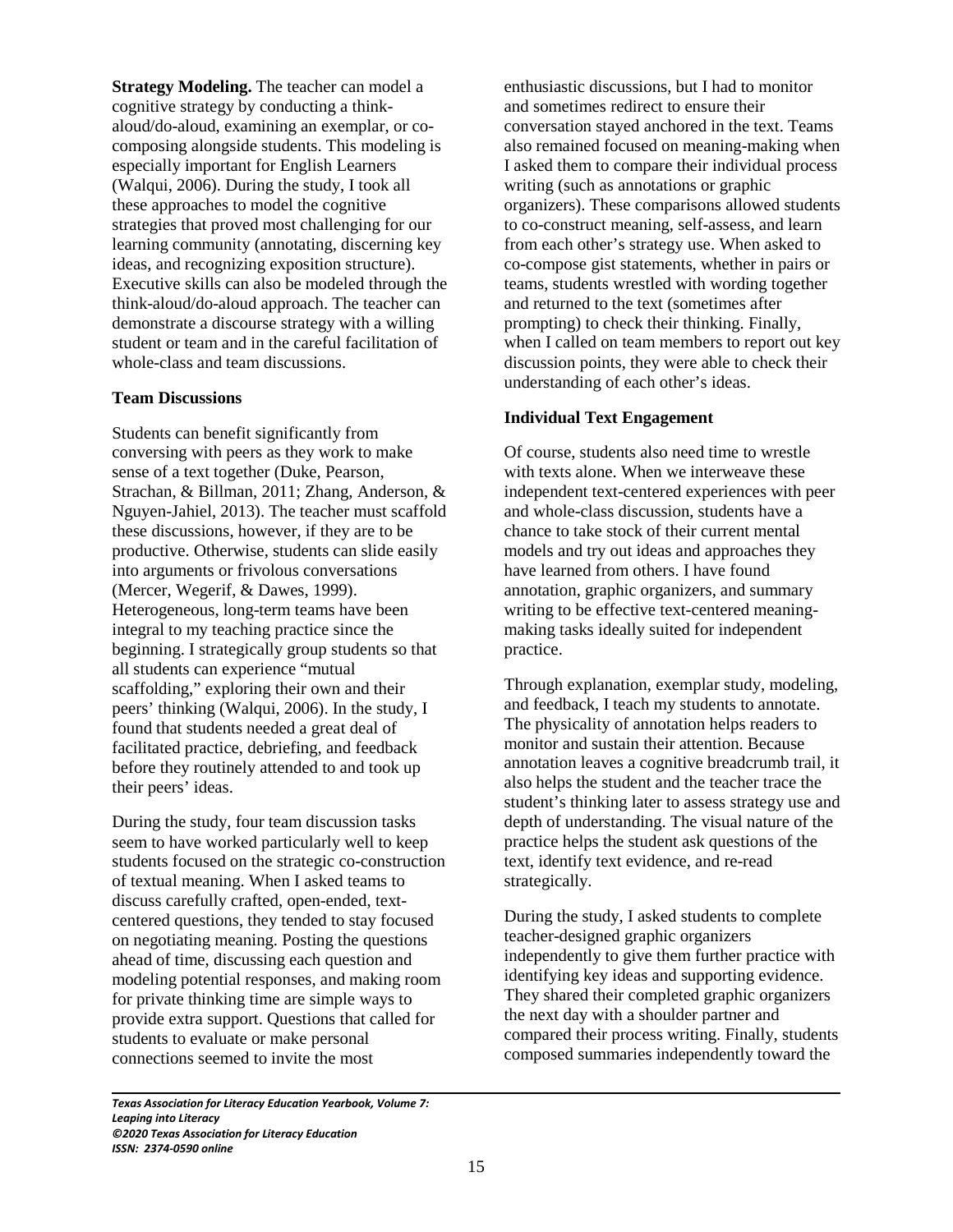**Strategy Modeling.** The teacher can model a cognitive strategy by conducting a thinkaloud/do-aloud, examining an exemplar, or cocomposing alongside students. This modeling is especially important for English Learners (Walqui, 2006). During the study, I took all these approaches to model the cognitive strategies that proved most challenging for our learning community (annotating, discerning key ideas, and recognizing exposition structure). Executive skills can also be modeled through the think-aloud/do-aloud approach. The teacher can demonstrate a discourse strategy with a willing student or team and in the careful facilitation of whole-class and team discussions.

## **Team Discussions**

Students can benefit significantly from conversing with peers as they work to make sense of a text together (Duke, Pearson, Strachan, & Billman, 2011; Zhang, Anderson, & Nguyen-Jahiel, 2013). The teacher must scaffold these discussions, however, if they are to be productive. Otherwise, students can slide easily into arguments or frivolous conversations (Mercer, Wegerif, & Dawes, 1999). Heterogeneous, long-term teams have been integral to my teaching practice since the beginning. I strategically group students so that all students can experience "mutual scaffolding," exploring their own and their peers' thinking (Walqui, 2006). In the study, I found that students needed a great deal of facilitated practice, debriefing, and feedback before they routinely attended to and took up their peers' ideas.

During the study, four team discussion tasks seem to have worked particularly well to keep students focused on the strategic co-construction of textual meaning. When I asked teams to discuss carefully crafted, open-ended, textcentered questions, they tended to stay focused on negotiating meaning. Posting the questions ahead of time, discussing each question and modeling potential responses, and making room for private thinking time are simple ways to provide extra support. Questions that called for students to evaluate or make personal connections seemed to invite the most

enthusiastic discussions, but I had to monitor and sometimes redirect to ensure their conversation stayed anchored in the text. Teams also remained focused on meaning-making when I asked them to compare their individual process writing (such as annotations or graphic organizers). These comparisons allowed students to co-construct meaning, self-assess, and learn from each other's strategy use. When asked to co-compose gist statements, whether in pairs or teams, students wrestled with wording together and returned to the text (sometimes after prompting) to check their thinking. Finally, when I called on team members to report out key discussion points, they were able to check their understanding of each other's ideas.

#### **Individual Text Engagement**

Of course, students also need time to wrestle with texts alone. When we interweave these independent text-centered experiences with peer and whole-class discussion, students have a chance to take stock of their current mental models and try out ideas and approaches they have learned from others. I have found annotation, graphic organizers, and summary writing to be effective text-centered meaningmaking tasks ideally suited for independent practice.

Through explanation, exemplar study, modeling, and feedback, I teach my students to annotate. The physicality of annotation helps readers to monitor and sustain their attention. Because annotation leaves a cognitive breadcrumb trail, it also helps the student and the teacher trace the student's thinking later to assess strategy use and depth of understanding. The visual nature of the practice helps the student ask questions of the text, identify text evidence, and re-read strategically.

During the study, I asked students to complete teacher-designed graphic organizers independently to give them further practice with identifying key ideas and supporting evidence. They shared their completed graphic organizers the next day with a shoulder partner and compared their process writing. Finally, students composed summaries independently toward the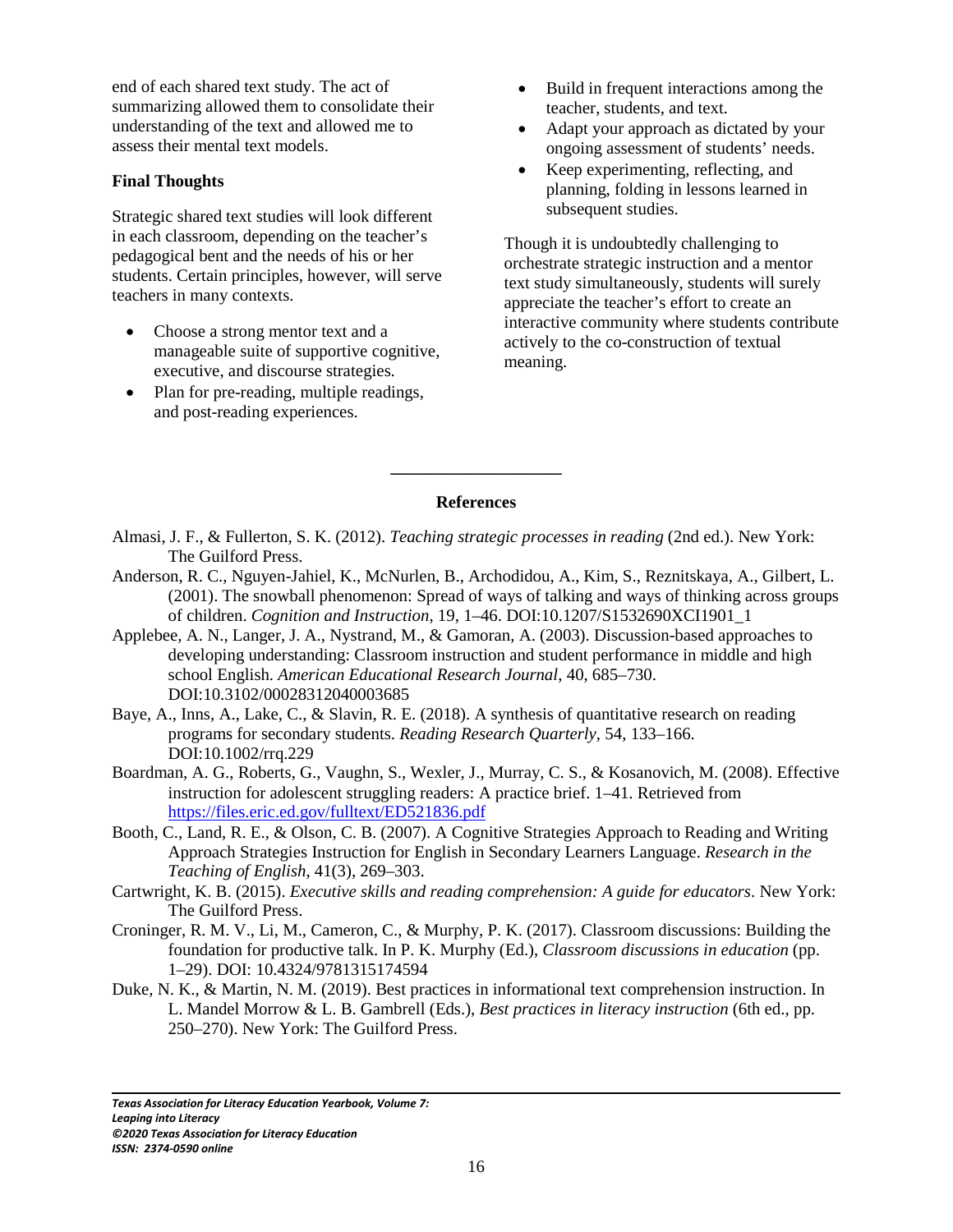end of each shared text study. The act of summarizing allowed them to consolidate their understanding of the text and allowed me to assess their mental text models.

## **Final Thoughts**

Strategic shared text studies will look different in each classroom, depending on the teacher's pedagogical bent and the needs of his or her students. Certain principles, however, will serve teachers in many contexts.

- Choose a strong mentor text and a manageable suite of supportive cognitive, executive, and discourse strategies.
- Plan for pre-reading, multiple readings, and post-reading experiences.
- Build in frequent interactions among the teacher, students, and text.
- Adapt your approach as dictated by your ongoing assessment of students' needs.
- Keep experimenting, reflecting, and planning, folding in lessons learned in subsequent studies.

Though it is undoubtedly challenging to orchestrate strategic instruction and a mentor text study simultaneously, students will surely appreciate the teacher's effort to create an interactive community where students contribute actively to the co-construction of textual meaning.

## **References**

**\_\_\_\_\_\_\_\_\_\_\_\_\_\_\_\_\_\_\_\_**

- Almasi, J. F., & Fullerton, S. K. (2012). *Teaching strategic processes in reading* (2nd ed.). New York: The Guilford Press.
- Anderson, R. C., Nguyen-Jahiel, K., McNurlen, B., Archodidou, A., Kim, S., Reznitskaya, A., Gilbert, L. (2001). The snowball phenomenon: Spread of ways of talking and ways of thinking across groups of children. *Cognition and Instruction*, 19, 1–46. DOI:10.1207/S1532690XCI1901\_1
- Applebee, A. N., Langer, J. A., Nystrand, M., & Gamoran, A. (2003). Discussion-based approaches to developing understanding: Classroom instruction and student performance in middle and high school English. *American Educational Research Journal*, 40, 685–730. DOI:10.3102/00028312040003685
- Baye, A., Inns, A., Lake, C., & Slavin, R. E. (2018). A synthesis of quantitative research on reading programs for secondary students. *Reading Research Quarterly*, 54, 133–166. DOI:10.1002/rrq.229
- Boardman, A. G., Roberts, G., Vaughn, S., Wexler, J., Murray, C. S., & Kosanovich, M. (2008). Effective instruction for adolescent struggling readers: A practice brief. 1–41. Retrieved from https://files.eric.ed.gov/fulltext/ED521836.pdf
- Booth, C., Land, R. E., & Olson, C. B. (2007). A Cognitive Strategies Approach to Reading and Writing Approach Strategies Instruction for English in Secondary Learners Language. *Research in the Teaching of English*, 41(3), 269–303.
- Cartwright, K. B. (2015). *Executive skills and reading comprehension: A guide for educators*. New York: The Guilford Press.
- Croninger, R. M. V., Li, M., Cameron, C., & Murphy, P. K. (2017). Classroom discussions: Building the foundation for productive talk. In P. K. Murphy (Ed.), *Classroom discussions in education* (pp. 1–29). DOI: 10.4324/9781315174594
- Duke, N. K., & Martin, N. M. (2019). Best practices in informational text comprehension instruction. In L. Mandel Morrow & L. B. Gambrell (Eds.), *Best practices in literacy instruction* (6th ed., pp. 250–270). New York: The Guilford Press.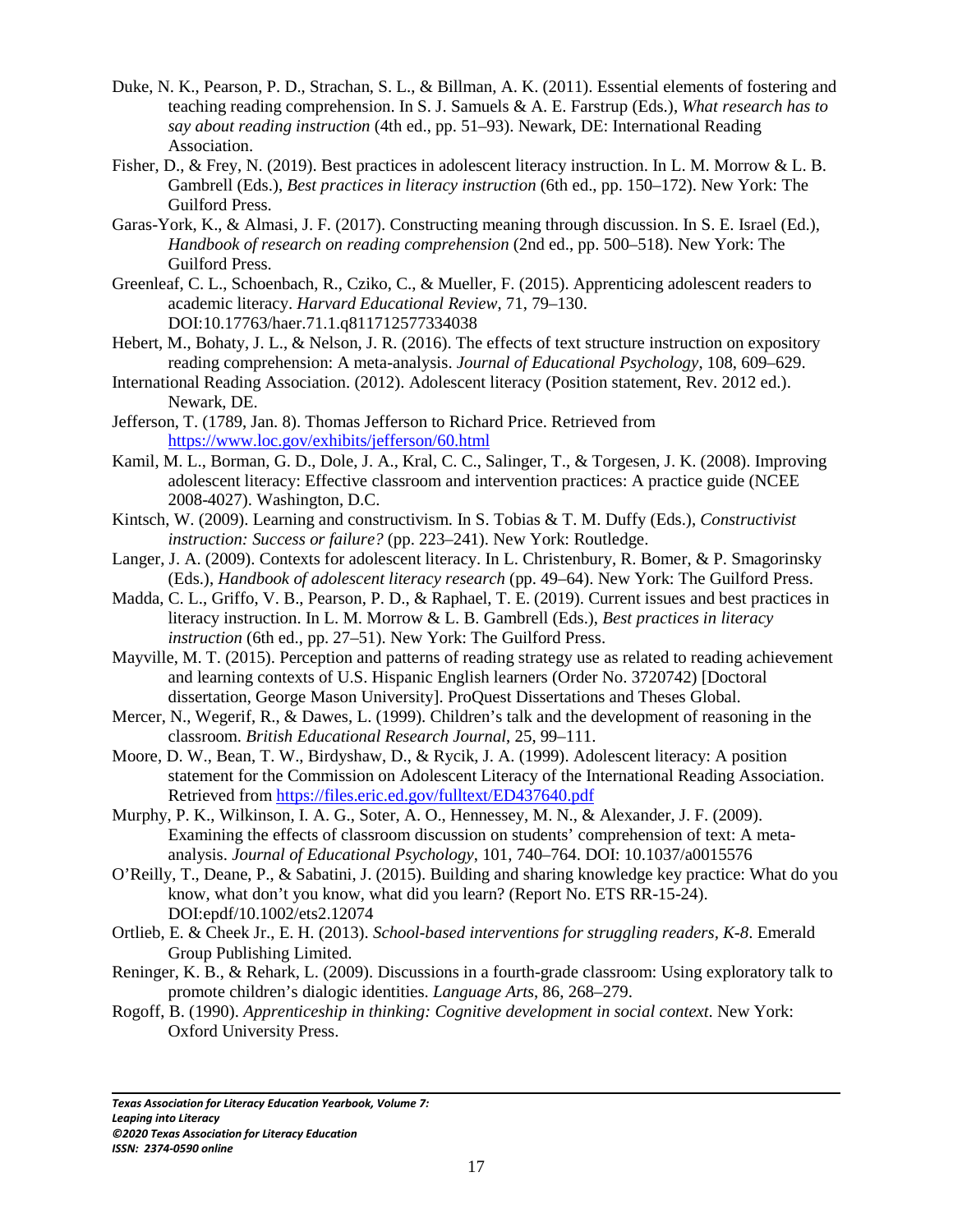- Duke, N. K., Pearson, P. D., Strachan, S. L., & Billman, A. K. (2011). Essential elements of fostering and teaching reading comprehension. In S. J. Samuels & A. E. Farstrup (Eds.), *What research has to say about reading instruction* (4th ed., pp. 51–93). Newark, DE: International Reading Association.
- Fisher, D., & Frey, N. (2019). Best practices in adolescent literacy instruction. In L. M. Morrow & L. B. Gambrell (Eds.), *Best practices in literacy instruction* (6th ed., pp. 150–172). New York: The Guilford Press.
- Garas-York, K., & Almasi, J. F. (2017). Constructing meaning through discussion. In S. E. Israel (Ed.), *Handbook of research on reading comprehension* (2nd ed., pp. 500–518). New York: The Guilford Press.
- Greenleaf, C. L., Schoenbach, R., Cziko, C., & Mueller, F. (2015). Apprenticing adolescent readers to academic literacy. *Harvard Educational Review*, 71, 79–130. DOI:10.17763/haer.71.1.q811712577334038
- Hebert, M., Bohaty, J. L., & Nelson, J. R. (2016). The effects of text structure instruction on expository reading comprehension: A meta-analysis. *Journal of Educational Psychology*, 108, 609–629.
- International Reading Association. (2012). Adolescent literacy (Position statement, Rev. 2012 ed.). Newark, DE.
- Jefferson, T. (1789, Jan. 8). Thomas Jefferson to Richard Price. Retrieved from https://www.loc.gov/exhibits/jefferson/60.html
- Kamil, M. L., Borman, G. D., Dole, J. A., Kral, C. C., Salinger, T., & Torgesen, J. K. (2008). Improving adolescent literacy: Effective classroom and intervention practices: A practice guide (NCEE 2008-4027). Washington, D.C.
- Kintsch, W. (2009). Learning and constructivism. In S. Tobias & T. M. Duffy (Eds.), *Constructivist instruction: Success or failure?* (pp. 223–241). New York: Routledge.
- Langer, J. A. (2009). Contexts for adolescent literacy. In L. Christenbury, R. Bomer, & P. Smagorinsky (Eds.), *Handbook of adolescent literacy research* (pp. 49–64). New York: The Guilford Press.
- Madda, C. L., Griffo, V. B., Pearson, P. D., & Raphael, T. E. (2019). Current issues and best practices in literacy instruction. In L. M. Morrow & L. B. Gambrell (Eds.), *Best practices in literacy instruction* (6th ed., pp. 27–51). New York: The Guilford Press.
- Mayville, M. T. (2015). Perception and patterns of reading strategy use as related to reading achievement and learning contexts of U.S. Hispanic English learners (Order No. 3720742) [Doctoral dissertation, George Mason University]. ProQuest Dissertations and Theses Global.
- Mercer, N., Wegerif, R., & Dawes, L. (1999). Children's talk and the development of reasoning in the classroom. *British Educational Research Journal*, 25, 99–111.
- Moore, D. W., Bean, T. W., Birdyshaw, D., & Rycik, J. A. (1999). Adolescent literacy: A position statement for the Commission on Adolescent Literacy of the International Reading Association. Retrieved from https://files.eric.ed.gov/fulltext/ED437640.pdf
- Murphy, P. K., Wilkinson, I. A. G., Soter, A. O., Hennessey, M. N., & Alexander, J. F. (2009). Examining the effects of classroom discussion on students' comprehension of text: A metaanalysis. *Journal of Educational Psychology*, 101, 740–764. DOI: 10.1037/a0015576
- O'Reilly, T., Deane, P., & Sabatini, J. (2015). Building and sharing knowledge key practice: What do you know, what don't you know, what did you learn? (Report No. ETS RR-15-24). DOI:epdf/10.1002/ets2.12074
- Ortlieb, E. & Cheek Jr., E. H. (2013). *School-based interventions for struggling readers, K-8*. Emerald Group Publishing Limited.
- Reninger, K. B., & Rehark, L. (2009). Discussions in a fourth-grade classroom: Using exploratory talk to promote children's dialogic identities. *Language Arts*, 86, 268–279.
- Rogoff, B. (1990). *Apprenticeship in thinking: Cognitive development in social context*. New York: Oxford University Press.